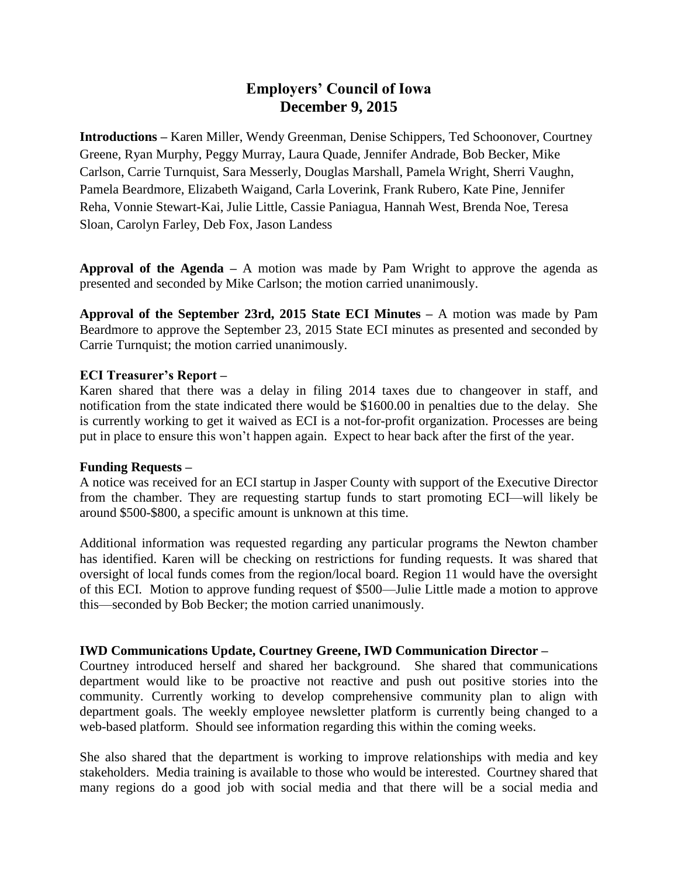# **Employers' Council of Iowa December 9, 2015**

**Introductions –** Karen Miller, Wendy Greenman, Denise Schippers, Ted Schoonover, Courtney Greene, Ryan Murphy, Peggy Murray, Laura Quade, Jennifer Andrade, Bob Becker, Mike Carlson, Carrie Turnquist, Sara Messerly, Douglas Marshall, Pamela Wright, Sherri Vaughn, Pamela Beardmore, Elizabeth Waigand, Carla Loverink, Frank Rubero, Kate Pine, Jennifer Reha, Vonnie Stewart-Kai, Julie Little, Cassie Paniagua, Hannah West, Brenda Noe, Teresa Sloan, Carolyn Farley, Deb Fox, Jason Landess

**Approval of the Agenda –** A motion was made by Pam Wright to approve the agenda as presented and seconded by Mike Carlson; the motion carried unanimously.

**Approval of the September 23rd, 2015 State ECI Minutes –** A motion was made by Pam Beardmore to approve the September 23, 2015 State ECI minutes as presented and seconded by Carrie Turnquist; the motion carried unanimously.

### **ECI Treasurer's Report –**

Karen shared that there was a delay in filing 2014 taxes due to changeover in staff, and notification from the state indicated there would be \$1600.00 in penalties due to the delay. She is currently working to get it waived as ECI is a not-for-profit organization. Processes are being put in place to ensure this won't happen again. Expect to hear back after the first of the year.

### **Funding Requests –**

A notice was received for an ECI startup in Jasper County with support of the Executive Director from the chamber. They are requesting startup funds to start promoting ECI—will likely be around \$500-\$800, a specific amount is unknown at this time.

Additional information was requested regarding any particular programs the Newton chamber has identified. Karen will be checking on restrictions for funding requests. It was shared that oversight of local funds comes from the region/local board. Region 11 would have the oversight of this ECI. Motion to approve funding request of \$500—Julie Little made a motion to approve this—seconded by Bob Becker; the motion carried unanimously.

### **IWD Communications Update, Courtney Greene, IWD Communication Director –**

Courtney introduced herself and shared her background. She shared that communications department would like to be proactive not reactive and push out positive stories into the community. Currently working to develop comprehensive community plan to align with department goals. The weekly employee newsletter platform is currently being changed to a web-based platform. Should see information regarding this within the coming weeks.

She also shared that the department is working to improve relationships with media and key stakeholders. Media training is available to those who would be interested. Courtney shared that many regions do a good job with social media and that there will be a social media and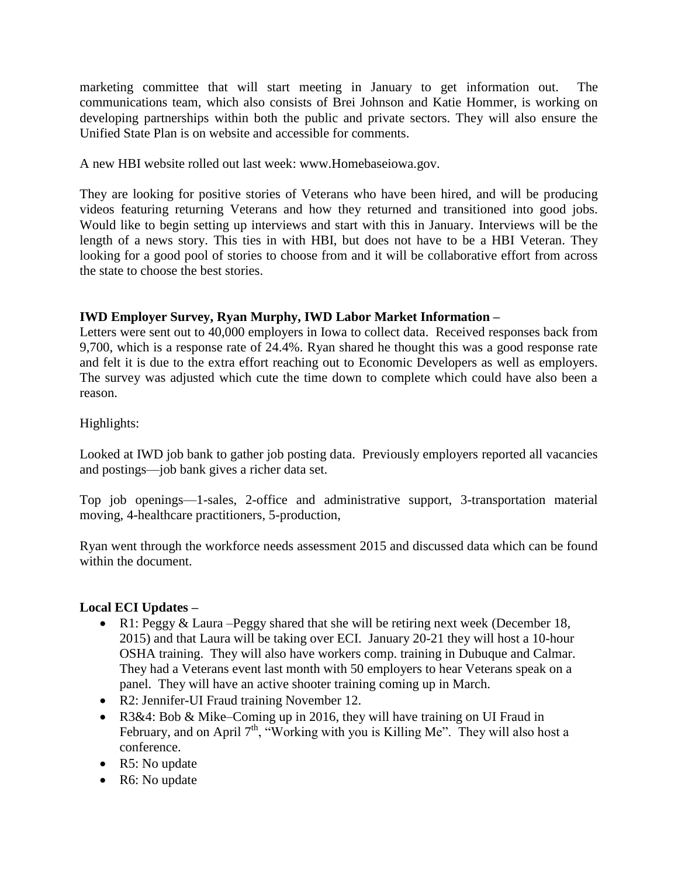marketing committee that will start meeting in January to get information out. The communications team, which also consists of Brei Johnson and Katie Hommer, is working on developing partnerships within both the public and private sectors. They will also ensure the Unified State Plan is on website and accessible for comments.

A new HBI website rolled out last week: www.Homebaseiowa.gov.

They are looking for positive stories of Veterans who have been hired, and will be producing videos featuring returning Veterans and how they returned and transitioned into good jobs. Would like to begin setting up interviews and start with this in January. Interviews will be the length of a news story. This ties in with HBI, but does not have to be a HBI Veteran. They looking for a good pool of stories to choose from and it will be collaborative effort from across the state to choose the best stories.

# **IWD Employer Survey, Ryan Murphy, IWD Labor Market Information –**

Letters were sent out to 40,000 employers in Iowa to collect data. Received responses back from 9,700, which is a response rate of 24.4%. Ryan shared he thought this was a good response rate and felt it is due to the extra effort reaching out to Economic Developers as well as employers. The survey was adjusted which cute the time down to complete which could have also been a reason.

Highlights:

Looked at IWD job bank to gather job posting data. Previously employers reported all vacancies and postings—job bank gives a richer data set.

Top job openings—1-sales, 2-office and administrative support, 3-transportation material moving, 4-healthcare practitioners, 5-production,

Ryan went through the workforce needs assessment 2015 and discussed data which can be found within the document.

# **Local ECI Updates –**

- R1: Peggy & Laura Peggy shared that she will be retiring next week (December 18, 2015) and that Laura will be taking over ECI. January 20-21 they will host a 10-hour OSHA training. They will also have workers comp. training in Dubuque and Calmar. They had a Veterans event last month with 50 employers to hear Veterans speak on a panel. They will have an active shooter training coming up in March.
- R2: Jennifer-UI Fraud training November 12.
- R3&4: Bob & Mike–Coming up in 2016, they will have training on UI Fraud in February, and on April  $7<sup>th</sup>$ , "Working with you is Killing Me". They will also host a conference.
- R5: No update
- R6: No update